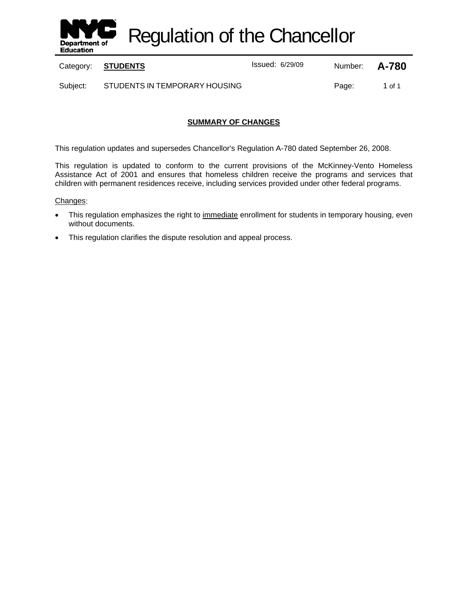

Regulation of the Chancellor

Category: **STUDENTS ISSUE 2018** Issued: 6/29/09 Number: **A-780** 

Subject: STUDENTS IN TEMPORARY HOUSING FOR A Camerage: 1 of 1

## **SUMMARY OF CHANGES**

This regulation updates and supersedes Chancellor's Regulation A-780 dated September 26, 2008.

This regulation is updated to conform to the current provisions of the McKinney-Vento Homeless Assistance Act of 2001 and ensures that homeless children receive the programs and services that children with permanent residences receive, including services provided under other federal programs.

#### Changes:

- This regulation emphasizes the right to immediate enrollment for students in temporary housing, even without documents.
- This regulation clarifies the dispute resolution and appeal process.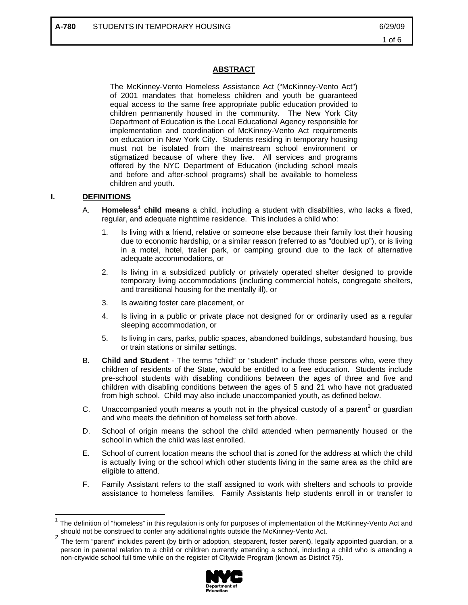## **ABSTRACT**

The McKinney-Vento Homeless Assistance Act ("McKinney-Vento Act") of 2001 mandates that homeless children and youth be guaranteed equal access to the same free appropriate public education provided to children permanently housed in the community. The New York City Department of Education is the Local Educational Agency responsible for implementation and coordination of McKinney-Vento Act requirements on education in New York City. Students residing in temporary housing must not be isolated from the mainstream school environment or stigmatized because of where they live. All services and programs offered by the NYC Department of Education (including school meals and before and after-school programs) shall be available to homeless children and youth.

### **I. DEFINITIONS**

 $\overline{a}$ 

- A. **Homeless<sup>1</sup> child means** a child, including a student with disabilities, who lacks a fixed, regular, and adequate nighttime residence. This includes a child who:
	- 1. Is living with a friend, relative or someone else because their family lost their housing due to economic hardship, or a similar reason (referred to as "doubled up"), or is living in a motel, hotel, trailer park, or camping ground due to the lack of alternative adequate accommodations, or
	- 2. Is living in a subsidized publicly or privately operated shelter designed to provide temporary living accommodations (including commercial hotels, congregate shelters, and transitional housing for the mentally ill), or
	- 3. Is awaiting foster care placement, or
	- 4. Is living in a public or private place not designed for or ordinarily used as a regular sleeping accommodation, or
	- 5. Is living in cars, parks, public spaces, abandoned buildings, substandard housing, bus or train stations or similar settings.
- B. **Child and Student** The terms "child" or "student" include those persons who, were they children of residents of the State, would be entitled to a free education. Students include pre-school students with disabling conditions between the ages of three and five and children with disabling conditions between the ages of 5 and 21 who have not graduated from high school. Child may also include unaccompanied youth, as defined below.
- C. Unaccompanied youth means a youth not in the physical custody of a parent<sup>2</sup> or guardian and who meets the definition of homeless set forth above.
- D. School of origin means the school the child attended when permanently housed or the school in which the child was last enrolled.
- E. School of current location means the school that is zoned for the address at which the child is actually living or the school which other students living in the same area as the child are eligible to attend.
- F. Family Assistant refers to the staff assigned to work with shelters and schools to provide assistance to homeless families. Family Assistants help students enroll in or transfer to

person in parental relation to a child or children currently attending a school, including a child who is attending a non-citywide school full time while on the register of Citywide Program (known as District 75).



The definition of "homeless" in this regulation is only for purposes of implementation of the McKinney-Vento Act and should not be construed to confer any additional rights outside the McKinney-Vento Act.<br><sup>2</sup> The term "parent" includes parent (by birth or adoption, stepparent, foster parent), legally appointed guardian, or a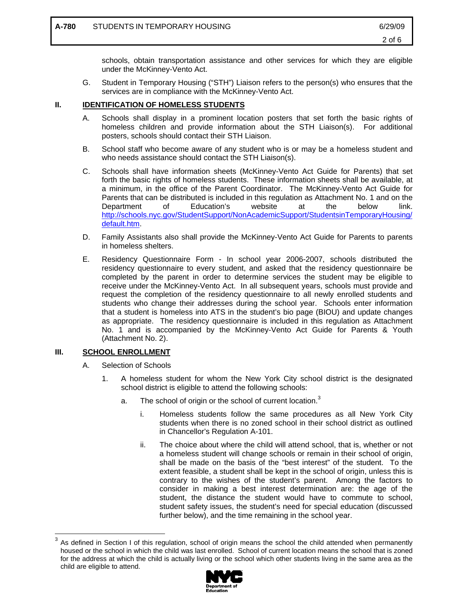schools, obtain transportation assistance and other services for which they are eligible under the McKinney-Vento Act.

G. Student in Temporary Housing ("STH") Liaison refers to the person(s) who ensures that the services are in compliance with the McKinney-Vento Act.

## **II. IDENTIFICATION OF HOMELESS STUDENTS**

- A. Schools shall display in a prominent location posters that set forth the basic rights of homeless children and provide information about the STH Liaison(s). For additional posters, schools should contact their STH Liaison.
- B. School staff who become aware of any student who is or may be a homeless student and who needs assistance should contact the STH Liaison(s).
- C. Schools shall have information sheets (McKinney-Vento Act Guide for Parents) that set forth the basic rights of homeless students. These information sheets shall be available, at a minimum, in the office of the Parent Coordinator. The McKinney-Vento Act Guide for Parents that can be distributed is included in this regulation as Attachment No. 1 and on the Department of Education's website at the below link. http://schools.nyc.gov/StudentSupport/NonAcademicSupport/StudentsinTemporaryHousing/ default.htm.
- D. Family Assistants also shall provide the McKinney-Vento Act Guide for Parents to parents in homeless shelters.
- E. Residency Questionnaire Form In school year 2006-2007, schools distributed the residency questionnaire to every student, and asked that the residency questionnaire be completed by the parent in order to determine services the student may be eligible to receive under the McKinney-Vento Act. In all subsequent years, schools must provide and request the completion of the residency questionnaire to all newly enrolled students and students who change their addresses during the school year. Schools enter information that a student is homeless into ATS in the student's bio page (BIOU) and update changes as appropriate. The residency questionnaire is included in this regulation as Attachment No. 1 and is accompanied by the McKinney-Vento Act Guide for Parents & Youth (Attachment No. 2).

#### **III. SCHOOL ENROLLMENT**

 $\overline{a}$ 

- A. Selection of Schools
	- 1. A homeless student for whom the New York City school district is the designated school district is eligible to attend the following schools:
		- a. The school of origin or the school of current location.<sup>3</sup>
			- i. Homeless students follow the same procedures as all New York City students when there is no zoned school in their school district as outlined in Chancellor's Regulation A-101.
			- ii. The choice about where the child will attend school, that is, whether or not a homeless student will change schools or remain in their school of origin, shall be made on the basis of the "best interest" of the student. To the extent feasible, a student shall be kept in the school of origin, unless this is contrary to the wishes of the student's parent. Among the factors to consider in making a best interest determination are: the age of the student, the distance the student would have to commute to school, student safety issues, the student's need for special education (discussed further below), and the time remaining in the school year.

 $3$  As defined in Section I of this regulation, school of origin means the school the child attended when permanently housed or the school in which the child was last enrolled. School of current location means the school that is zoned for the address at which the child is actually living or the school which other students living in the same area as the child are eligible to attend.

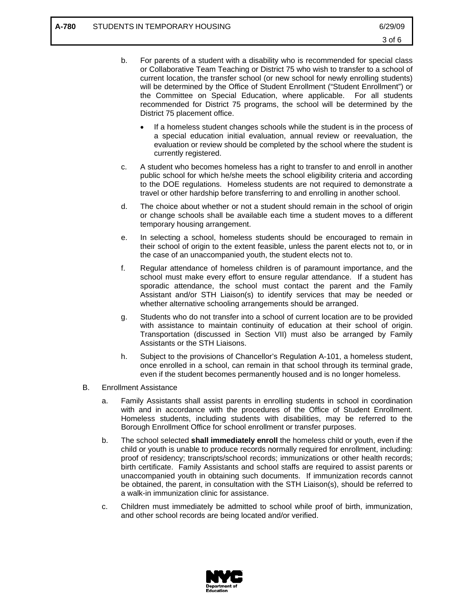- b. For parents of a student with a disability who is recommended for special class or Collaborative Team Teaching or District 75 who wish to transfer to a school of current location, the transfer school (or new school for newly enrolling students) will be determined by the Office of Student Enrollment ("Student Enrollment") or the Committee on Special Education, where applicable. For all students recommended for District 75 programs, the school will be determined by the District 75 placement office.
	- If a homeless student changes schools while the student is in the process of a special education initial evaluation, annual review or reevaluation, the evaluation or review should be completed by the school where the student is currently registered.
- c. A student who becomes homeless has a right to transfer to and enroll in another public school for which he/she meets the school eligibility criteria and according to the DOE regulations. Homeless students are not required to demonstrate a travel or other hardship before transferring to and enrolling in another school.
- d. The choice about whether or not a student should remain in the school of origin or change schools shall be available each time a student moves to a different temporary housing arrangement.
- e. In selecting a school, homeless students should be encouraged to remain in their school of origin to the extent feasible, unless the parent elects not to, or in the case of an unaccompanied youth, the student elects not to.
- f. Regular attendance of homeless children is of paramount importance, and the school must make every effort to ensure regular attendance. If a student has sporadic attendance, the school must contact the parent and the Family Assistant and/or STH Liaison(s) to identify services that may be needed or whether alternative schooling arrangements should be arranged.
- g. Students who do not transfer into a school of current location are to be provided with assistance to maintain continuity of education at their school of origin. Transportation (discussed in Section VII) must also be arranged by Family Assistants or the STH Liaisons.
- h. Subject to the provisions of Chancellor's Regulation A-101, a homeless student, once enrolled in a school, can remain in that school through its terminal grade, even if the student becomes permanently housed and is no longer homeless.
- B. Enrollment Assistance
	- a. Family Assistants shall assist parents in enrolling students in school in coordination with and in accordance with the procedures of the Office of Student Enrollment. Homeless students, including students with disabilities, may be referred to the Borough Enrollment Office for school enrollment or transfer purposes.
	- b. The school selected **shall immediately enroll** the homeless child or youth, even if the child or youth is unable to produce records normally required for enrollment, including: proof of residency; transcripts/school records; immunizations or other health records; birth certificate. Family Assistants and school staffs are required to assist parents or unaccompanied youth in obtaining such documents. If immunization records cannot be obtained, the parent, in consultation with the STH Liaison(s), should be referred to a walk-in immunization clinic for assistance.
	- c. Children must immediately be admitted to school while proof of birth, immunization, and other school records are being located and/or verified.

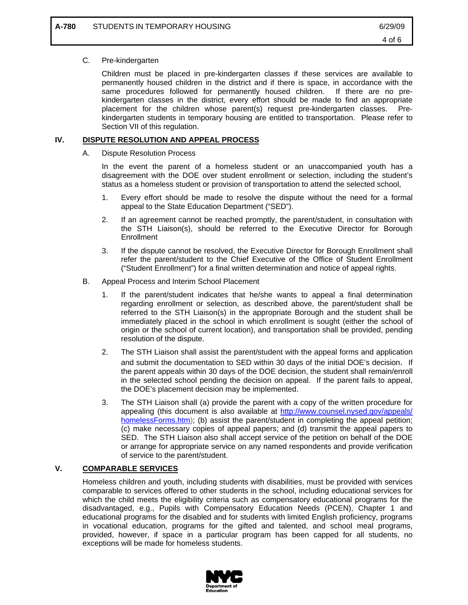#### C. Pre-kindergarten

Children must be placed in pre-kindergarten classes if these services are available to permanently housed children in the district and if there is space, in accordance with the same procedures followed for permanently housed children. If there are no prekindergarten classes in the district, every effort should be made to find an appropriate placement for the children whose parent(s) request pre-kindergarten classes. Prekindergarten students in temporary housing are entitled to transportation. Please refer to Section VII of this regulation.

#### **IV. DISPUTE RESOLUTION AND APPEAL PROCESS**

A. Dispute Resolution Process

In the event the parent of a homeless student or an unaccompanied youth has a disagreement with the DOE over student enrollment or selection, including the student's status as a homeless student or provision of transportation to attend the selected school,

- 1. Every effort should be made to resolve the dispute without the need for a formal appeal to the State Education Department ("SED").
- 2. If an agreement cannot be reached promptly, the parent/student, in consultation with the STH Liaison(s), should be referred to the Executive Director for Borough **Enrollment**
- 3. If the dispute cannot be resolved, the Executive Director for Borough Enrollment shall refer the parent/student to the Chief Executive of the Office of Student Enrollment ("Student Enrollment") for a final written determination and notice of appeal rights.
- B. Appeal Process and Interim School Placement
	- 1. If the parent/student indicates that he/she wants to appeal a final determination regarding enrollment or selection, as described above, the parent/student shall be referred to the STH Liaison(s) in the appropriate Borough and the student shall be immediately placed in the school in which enrollment is sought (either the school of origin or the school of current location), and transportation shall be provided, pending resolution of the dispute.
	- 2. The STH Liaison shall assist the parent/student with the appeal forms and application and submit the documentation to SED within 30 days of the initial DOE's decision. If the parent appeals within 30 days of the DOE decision, the student shall remain/enroll in the selected school pending the decision on appeal. If the parent fails to appeal, the DOE's placement decision may be implemented.
	- 3. The STH Liaison shall (a) provide the parent with a copy of the written procedure for appealing (this document is also available at http://www.counsel.nysed.gov/appeals/ homelessForms.htm); (b) assist the parent/student in completing the appeal petition; (c) make necessary copies of appeal papers; and (d) transmit the appeal papers to SED. The STH Liaison also shall accept service of the petition on behalf of the DOE or arrange for appropriate service on any named respondents and provide verification of service to the parent/student.

## **V. COMPARABLE SERVICES**

Homeless children and youth, including students with disabilities, must be provided with services comparable to services offered to other students in the school, including educational services for which the child meets the eligibility criteria such as compensatory educational programs for the disadvantaged, e.g., Pupils with Compensatory Education Needs (PCEN), Chapter 1 and educational programs for the disabled and for students with limited English proficiency, programs in vocational education, programs for the gifted and talented, and school meal programs, provided, however, if space in a particular program has been capped for all students, no exceptions will be made for homeless students.

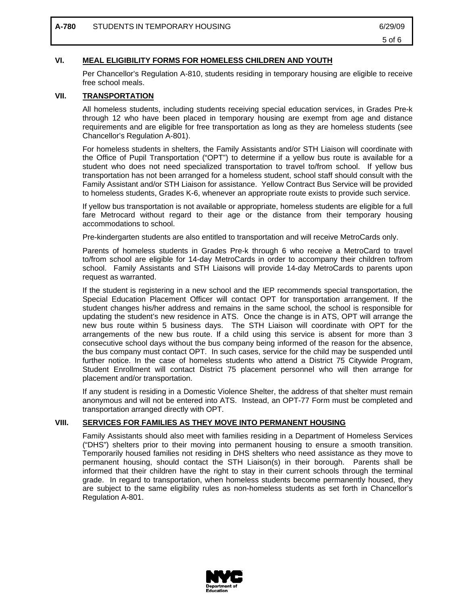#### **VI. MEAL ELIGIBILITY FORMS FOR HOMELESS CHILDREN AND YOUTH**

Per Chancellor's Regulation A-810, students residing in temporary housing are eligible to receive free school meals.

#### **VII. TRANSPORTATION**

All homeless students, including students receiving special education services, in Grades Pre-k through 12 who have been placed in temporary housing are exempt from age and distance requirements and are eligible for free transportation as long as they are homeless students (see Chancellor's Regulation A-801).

For homeless students in shelters, the Family Assistants and/or STH Liaison will coordinate with the Office of Pupil Transportation ("OPT") to determine if a yellow bus route is available for a student who does not need specialized transportation to travel to/from school. If yellow bus transportation has not been arranged for a homeless student, school staff should consult with the Family Assistant and/or STH Liaison for assistance. Yellow Contract Bus Service will be provided to homeless students, Grades K-6, whenever an appropriate route exists to provide such service.

If yellow bus transportation is not available or appropriate, homeless students are eligible for a full fare Metrocard without regard to their age or the distance from their temporary housing accommodations to school.

Pre-kindergarten students are also entitled to transportation and will receive MetroCards only.

Parents of homeless students in Grades Pre-k through 6 who receive a MetroCard to travel to/from school are eligible for 14-day MetroCards in order to accompany their children to/from school. Family Assistants and STH Liaisons will provide 14-day MetroCards to parents upon request as warranted.

If the student is registering in a new school and the IEP recommends special transportation, the Special Education Placement Officer will contact OPT for transportation arrangement. If the student changes his/her address and remains in the same school, the school is responsible for updating the student's new residence in ATS. Once the change is in ATS, OPT will arrange the new bus route within 5 business days. The STH Liaison will coordinate with OPT for the arrangements of the new bus route. If a child using this service is absent for more than 3 consecutive school days without the bus company being informed of the reason for the absence, the bus company must contact OPT. In such cases, service for the child may be suspended until further notice. In the case of homeless students who attend a District 75 Citywide Program, Student Enrollment will contact District 75 placement personnel who will then arrange for placement and/or transportation.

If any student is residing in a Domestic Violence Shelter, the address of that shelter must remain anonymous and will not be entered into ATS. Instead, an OPT-77 Form must be completed and transportation arranged directly with OPT.

#### **VIII. SERVICES FOR FAMILIES AS THEY MOVE INTO PERMANENT HOUSING**

Family Assistants should also meet with families residing in a Department of Homeless Services ("DHS") shelters prior to their moving into permanent housing to ensure a smooth transition. Temporarily housed families not residing in DHS shelters who need assistance as they move to permanent housing, should contact the STH Liaison(s) in their borough. Parents shall be informed that their children have the right to stay in their current schools through the terminal grade. In regard to transportation, when homeless students become permanently housed, they are subject to the same eligibility rules as non-homeless students as set forth in Chancellor's Regulation A-801.

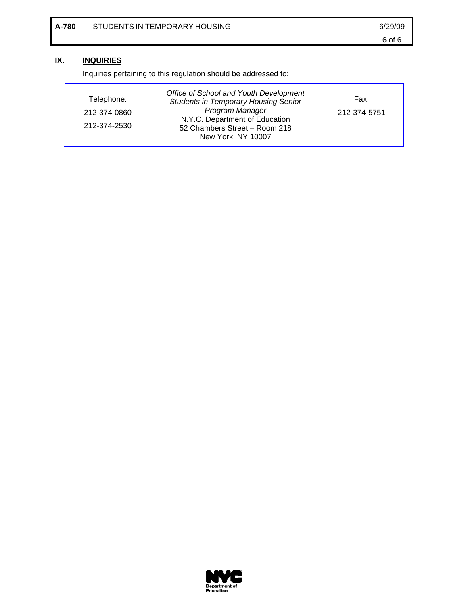## **IX. INQUIRIES**

Inquiries pertaining to this regulation should be addressed to:

| Telephone:   | Office of School and Youth Development<br><b>Students in Temporary Housing Senior</b> | Fax:         |
|--------------|---------------------------------------------------------------------------------------|--------------|
| 212-374-0860 | Program Manager                                                                       | 212-374-5751 |
| 212-374-2530 | N.Y.C. Department of Education<br>52 Chambers Street - Room 218<br>New York, NY 10007 |              |

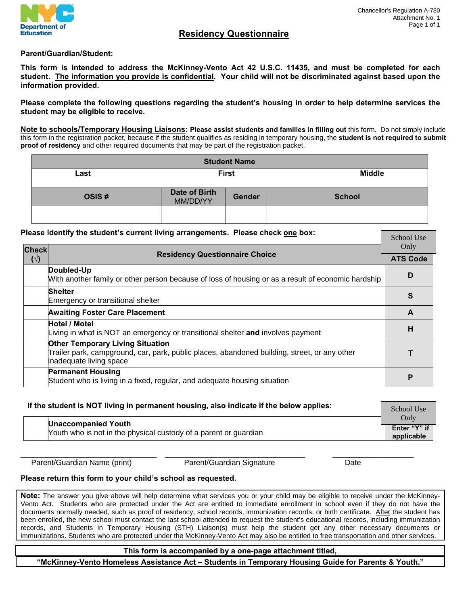

School Use

## **Residency Questionnaire**

#### **Parent/Guardian/Student:**

**This form is intended to address the McKinney-Vento Act 42 U.S.C. 11435, and must be completed for each student. The information you provide is confidential. Your child will not be discriminated against based upon the information provided.** 

**Please complete the following questions regarding the student's housing in order to help determine services the student may be eligible to receive.** 

**Note to schools/Temporary Housing Liaisons: Please assist students and families in filling out** this form. Do not simply include this form in the registration packet, because if the student qualifies as residing in temporary housing, the **student is not required to submit proof of residency** and other required documents that may be part of the registration packet.

| <b>Student Name</b> |                           |               |               |  |  |
|---------------------|---------------------------|---------------|---------------|--|--|
| Last                | <b>First</b>              |               | <b>Middle</b> |  |  |
| OSIS#               | Date of Birth<br>MM/DD/YY | <b>Gender</b> | <b>School</b> |  |  |
|                     |                           |               |               |  |  |

#### **Please identify the student's current living arrangements. Please check one box:**

| <b>Check</b> | <b>Residency Questionnaire Choice</b>                                                                                                                              |   |
|--------------|--------------------------------------------------------------------------------------------------------------------------------------------------------------------|---|
| $(\vee)$     |                                                                                                                                                                    |   |
|              | Doubled-Up<br>With another family or other person because of loss of housing or as a result of economic hardship                                                   | D |
|              | <b>Shelter</b><br>Emergency or transitional shelter                                                                                                                | S |
|              | <b>Awaiting Foster Care Placement</b>                                                                                                                              | A |
|              | <b>Hotel / Motel</b><br>Living in what is NOT an emergency or transitional shelter and involves payment                                                            | н |
|              | <b>Other Temporary Living Situation</b><br>Trailer park, campground, car, park, public places, abandoned building, street, or any other<br>inadequate living space |   |
|              | <b>Permanent Housing</b><br>Student who is living in a fixed, regular, and adequate housing situation                                                              | P |

| If the student is NOT living in permanent housing, also indicate if the below applies:         |                                    |
|------------------------------------------------------------------------------------------------|------------------------------------|
| <b>Unaccompanied Youth</b><br>Youth who is not in the physical custody of a parent or guardian | Only<br>Enter "Y" if<br>applicable |

Parent/Guardian Name (print) Parent/Guardian Signature Date

 $\_$  ,  $\_$  ,  $\_$  ,  $\_$  ,  $\_$  ,  $\_$  ,  $\_$  ,  $\_$  ,  $\_$  ,  $\_$  ,  $\_$  ,  $\_$  ,  $\_$  ,  $\_$  ,  $\_$  ,  $\_$  ,  $\_$  ,  $\_$  ,  $\_$  ,  $\_$  ,  $\_$  ,  $\_$  ,  $\_$  ,  $\_$  ,  $\_$  ,  $\_$  ,  $\_$  ,  $\_$  ,  $\_$  ,  $\_$  ,  $\_$  ,  $\_$  ,  $\_$  ,  $\_$  ,  $\_$  ,  $\_$  ,  $\_$  ,

#### **Please return this form to your child's school as requested.**

**Note:** The answer you give above will help determine what services you or your child may be eligible to receive under the McKinney-Vento Act. Students who are protected under the Act are entitled to immediate enrollment in school even if they do not have the documents normally needed, such as proof of residency, school records, immunization records, or birth certificate. After the student has been enrolled, the new school must contact the last school attended to request the student's educational records, including immunization records, and Students in Temporary Housing (STH) Liaison(s) must help the student get any other necessary documents or immunizations. Students who are protected under the McKinney-Vento Act may also be entitled to free transportation and other services.

#### **This form is accompanied by a one-page attachment titled,**

**"McKinney-Vento Homeless Assistance Act – Students in Temporary Housing Guide for Parents & Youth."**